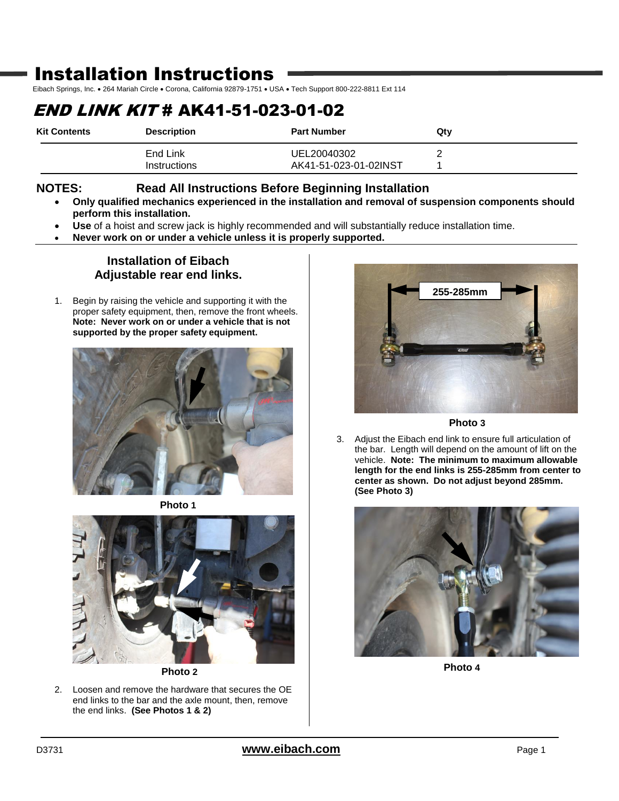## Installation Instructions

Eibach Springs, Inc. . 264 Mariah Circle . Corona, California 92879-1751 . USA . Tech Support 800-222-8811 Ext 114

# END LINK KIT # AK41-51-023-01-02

| <b>Kit Contents</b> | <b>Description</b> | <b>Part Number</b>    | Qtv |
|---------------------|--------------------|-----------------------|-----|
|                     | End Link           | UEL20040302           |     |
|                     | Instructions       | AK41-51-023-01-02INST |     |

### **NOTES: Read All Instructions Before Beginning Installation**

- **Only qualified mechanics experienced in the installation and removal of suspension components should perform this installation.**
- **Use** of a hoist and screw jack is highly recommended and will substantially reduce installation time.
- **Never work on or under a vehicle unless it is properly supported.**

### **Installation of Eibach Adjustable rear end links.**

1. Begin by raising the vehicle and supporting it with the proper safety equipment, then, remove the front wheels. **Note: Never work on or under a vehicle that is not supported by the proper safety equipment.**



**Photo 1**



**Photo 2**

2. Loosen and remove the hardware that secures the OE end links to the bar and the axle mount, then, remove the end links. **(See Photos 1 & 2)**



**Photo 3**

3. Adjust the Eibach end link to ensure full articulation of the bar. Length will depend on the amount of lift on the vehicle. **Note: The minimum to maximum allowable length for the end links is 255-285mm from center to center as shown. Do not adjust beyond 285mm. (See Photo 3)**



**Photo 4**